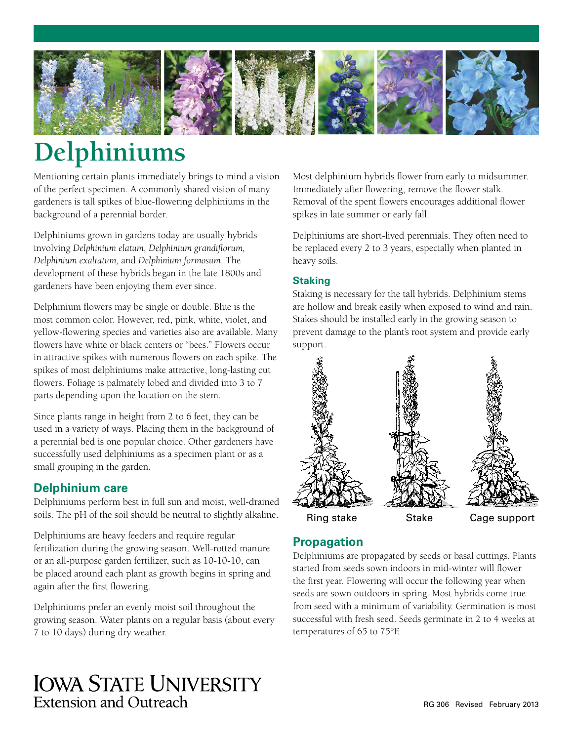

# **Delphiniums**

Mentioning certain plants immediately brings to mind a vision of the perfect specimen. A commonly shared vision of many gardeners is tall spikes of blue-flowering delphiniums in the background of a perennial border.

Delphiniums grown in gardens today are usually hybrids involving *Delphinium elatum, Delphinium grandiflorum, Delphinium exaltatum,* and *Delphinium formosum*. The development of these hybrids began in the late 1800s and gardeners have been enjoying them ever since.

Delphinium flowers may be single or double. Blue is the most common color. However, red, pink, white, violet, and yellow-flowering species and varieties also are available. Many flowers have white or black centers or "bees." Flowers occur in attractive spikes with numerous flowers on each spike. The spikes of most delphiniums make attractive, long-lasting cut flowers. Foliage is palmately lobed and divided into 3 to 7 parts depending upon the location on the stem.

Since plants range in height from 2 to 6 feet, they can be used in a variety of ways. Placing them in the background of a perennial bed is one popular choice. Other gardeners have successfully used delphiniums as a specimen plant or as a small grouping in the garden.

# **Delphinium care**

Delphiniums perform best in full sun and moist, well-drained soils. The pH of the soil should be neutral to slightly alkaline.

Delphiniums are heavy feeders and require regular fertilization during the growing season. Well-rotted manure or an all-purpose garden fertilizer, such as 10-10-10, can be placed around each plant as growth begins in spring and again after the first flowering.

Delphiniums prefer an evenly moist soil throughout the growing season. Water plants on a regular basis (about every 7 to 10 days) during dry weather.

**IOWA STATE UNIVERSITY Extension and Outreach** 

Most delphinium hybrids flower from early to midsummer. Immediately after flowering, remove the flower stalk. Removal of the spent flowers encourages additional flower spikes in late summer or early fall.

Delphiniums are short-lived perennials. They often need to be replaced every 2 to 3 years, especially when planted in heavy soils.

### **Staking**

Staking is necessary for the tall hybrids. Delphinium stems are hollow and break easily when exposed to wind and rain. Stakes should be installed early in the growing season to prevent damage to the plant's root system and provide early support.



## **Propagation**

Delphiniums are propagated by seeds or basal cuttings. Plants started from seeds sown indoors in mid-winter will flower the first year. Flowering will occur the following year when seeds are sown outdoors in spring. Most hybrids come true from seed with a minimum of variability. Germination is most successful with fresh seed. Seeds germinate in 2 to 4 weeks at temperatures of 65 to 75°F.